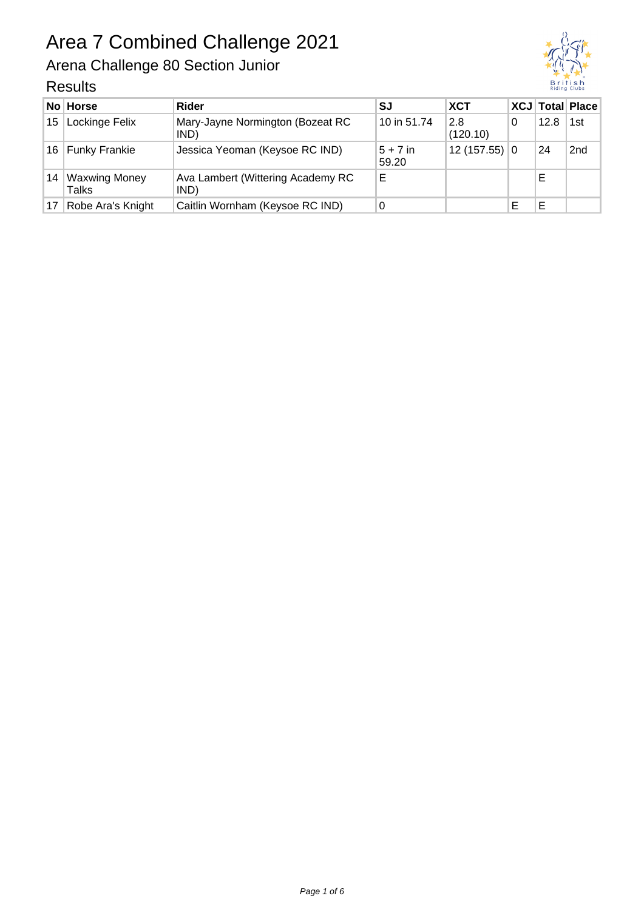Arena Challenge 80 Section Junior



|       | No Horse                      | <b>Rider</b>                              | SJ                  | <b>XCT</b>      |      | XCJ   Total   Place |
|-------|-------------------------------|-------------------------------------------|---------------------|-----------------|------|---------------------|
| ւ15 ″ | Lockinge Felix                | Mary-Jayne Normington (Bozeat RC<br>IND)  | 10 in 51.74         | 2.8<br>(120.10) | 12.8 | 1st                 |
| 16    | <b>Funky Frankie</b>          | Jessica Yeoman (Keysoe RC IND)            | $5 + 7$ in<br>59.20 | $12(157.55)$ 0  | 24   | 2 <sub>nd</sub>     |
| 14    | <b>Waxwing Money</b><br>Talks | Ava Lambert (Wittering Academy RC<br>IND) | E                   |                 | Е    |                     |
| 17    | Robe Ara's Knight             | Caitlin Wornham (Keysoe RC IND)           | 0                   |                 | Е    |                     |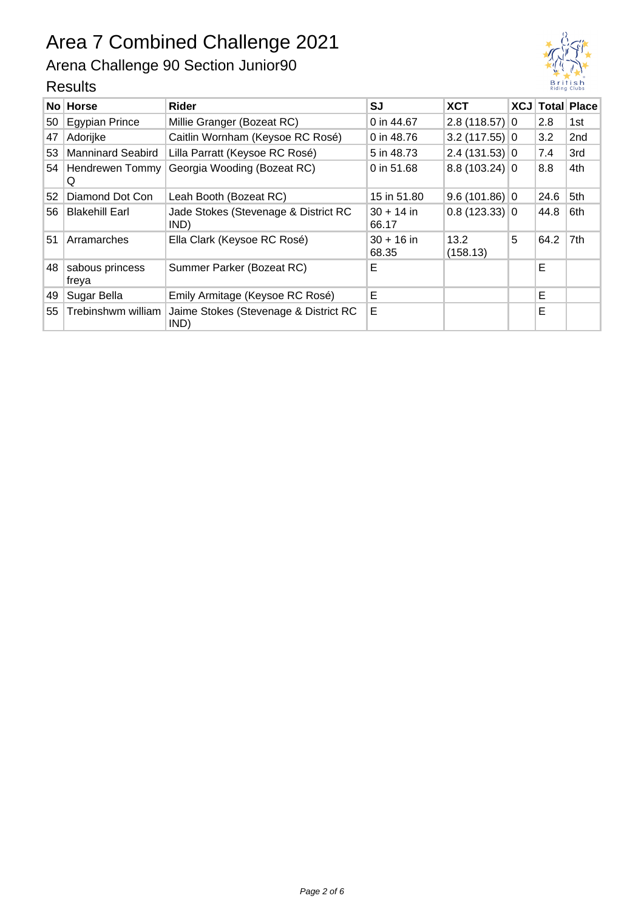Arena Challenge 90 Section Junior90



|    | No Horse                 | Rider                                         | SJ                    | <b>XCT</b>       |   |      | <b>XCJ Total Place</b> |
|----|--------------------------|-----------------------------------------------|-----------------------|------------------|---|------|------------------------|
| 50 | <b>Egypian Prince</b>    | Millie Granger (Bozeat RC)                    | 0 in 44.67            | $2.8(118.57)$ 0  |   | 2.8  | 1st                    |
| 47 | Adorijke                 | Caitlin Wornham (Keysoe RC Rosé)              | 0 in 48.76            | $3.2(117.55)$ 0  |   | 3.2  | 2 <sub>nd</sub>        |
| 53 | <b>Manninard Seabird</b> | Lilla Parratt (Keysoe RC Rosé)                | 5 in 48.73            | $2.4(131.53)$ 0  |   | 7.4  | 3rd                    |
| 54 | Hendrewen Tommy<br>Q     | Georgia Wooding (Bozeat RC)                   | 0 in 51.68            | $8.8(103.24)$ 0  |   | 8.8  | 4th                    |
| 52 | Diamond Dot Con          | Leah Booth (Bozeat RC)                        | 15 in 51.80           | $9.6(101.86)$ 0  |   | 24.6 | 5th                    |
| 56 | <b>Blakehill Earl</b>    | Jade Stokes (Stevenage & District RC<br>IND)  | $30 + 14$ in<br>66.17 | $0.8(123.33)$ 0  |   | 44.8 | 6th                    |
| 51 | Arramarches              | Ella Clark (Keysoe RC Rosé)                   | $30 + 16$ in<br>68.35 | 13.2<br>(158.13) | 5 | 64.2 | 7th                    |
| 48 | sabous princess<br>freya | Summer Parker (Bozeat RC)                     | E                     |                  |   | E    |                        |
| 49 | Sugar Bella              | Emily Armitage (Keysoe RC Rosé)               | E                     |                  |   | E    |                        |
| 55 | Trebinshwm william       | Jaime Stokes (Stevenage & District RC<br>IND) | E                     |                  |   | E    |                        |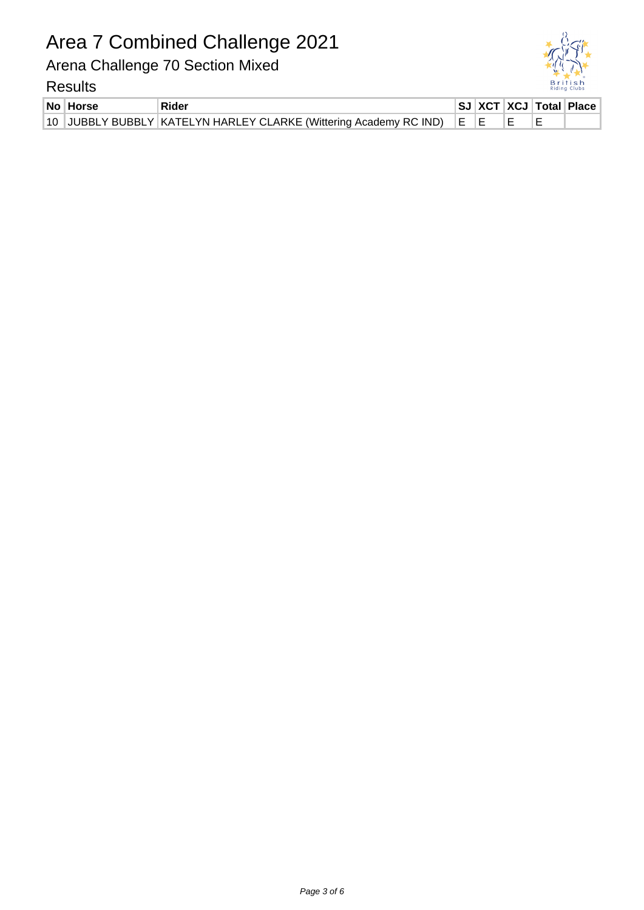Arena Challenge 70 Section Mixed



| <b>No Horse</b> | Rider                                                                   |  |  | SJ XCT XCJ Total Place |
|-----------------|-------------------------------------------------------------------------|--|--|------------------------|
|                 | 10 JUBBLY BUBBLY KATELYN HARLEY CLARKE (Wittering Academy RC IND) E E E |  |  |                        |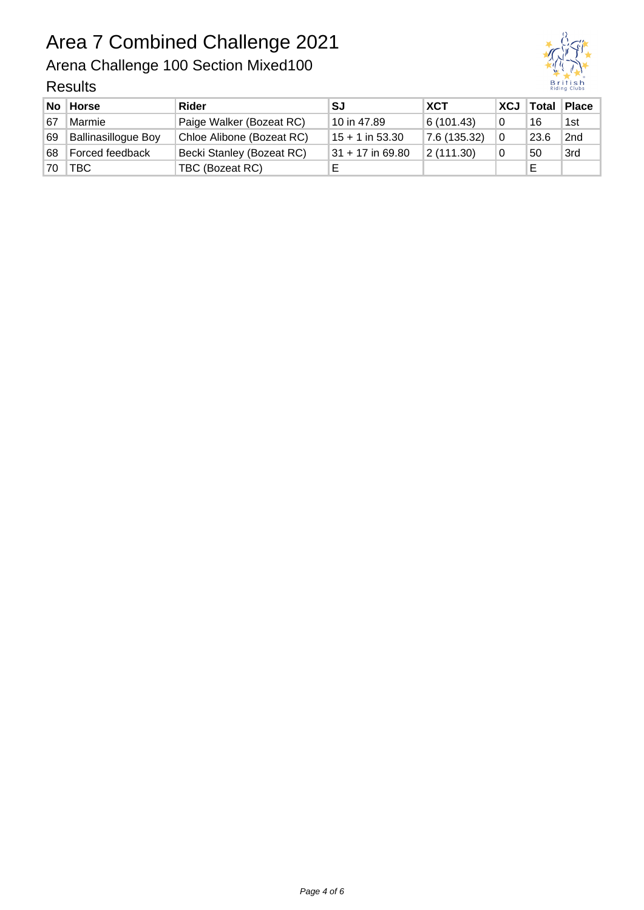Arena Challenge 100 Section Mixed100

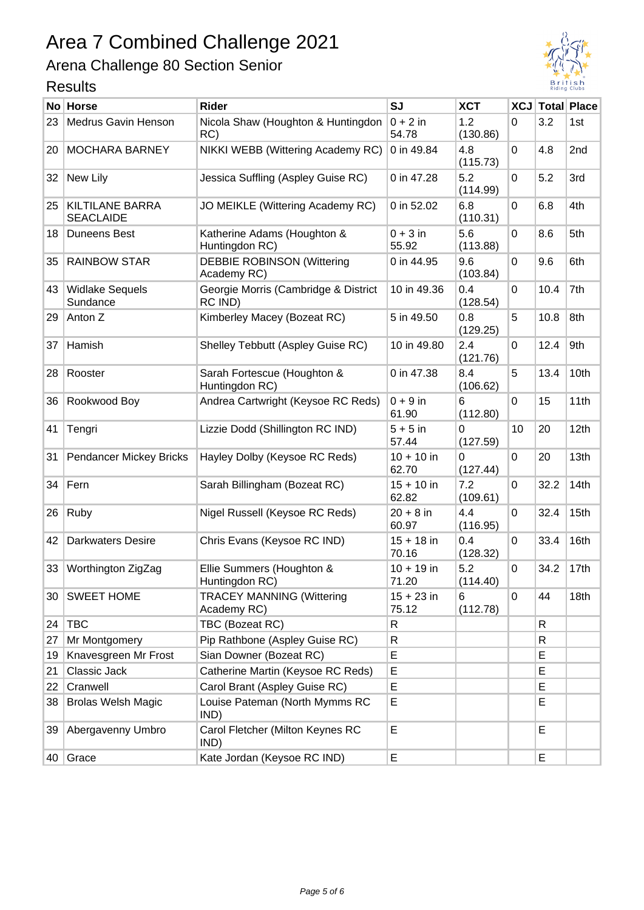Arena Challenge 80 Section Senior



|    | ט וועטאו                                   |                                                  |                       |                 |    |      |                        |  |  |
|----|--------------------------------------------|--------------------------------------------------|-----------------------|-----------------|----|------|------------------------|--|--|
|    | No Horse                                   | <b>Rider</b>                                     | <b>SJ</b>             | <b>XCT</b>      |    |      | <b>XCJ Total Place</b> |  |  |
| 23 | <b>Medrus Gavin Henson</b>                 | Nicola Shaw (Houghton & Huntingdon<br>RC)        | $0 + 2$ in<br>54.78   | 1.2<br>(130.86) | 0  | 3.2  | 1st                    |  |  |
| 20 | <b>MOCHARA BARNEY</b>                      | NIKKI WEBB (Wittering Academy RC)                | 0 in 49.84            | 4.8<br>(115.73) | 0  | 4.8  | 2nd                    |  |  |
| 32 | New Lily                                   | Jessica Suffling (Aspley Guise RC)               | 0 in 47.28            | 5.2<br>(114.99) | 0  | 5.2  | 3rd                    |  |  |
| 25 | <b>KILTILANE BARRA</b><br><b>SEACLAIDE</b> | JO MEIKLE (Wittering Academy RC)                 | 0 in 52.02            | 6.8<br>(110.31) | 0  | 6.8  | 4th                    |  |  |
| 18 | <b>Duneens Best</b>                        | Katherine Adams (Houghton &<br>Huntingdon RC)    | $0 + 3$ in<br>55.92   | 5.6<br>(113.88) | 0  | 8.6  | 5th                    |  |  |
| 35 | <b>RAINBOW STAR</b>                        | <b>DEBBIE ROBINSON (Wittering</b><br>Academy RC) | 0 in 44.95            | 9.6<br>(103.84) | 0  | 9.6  | 6th                    |  |  |
| 43 | <b>Widlake Sequels</b><br>Sundance         | Georgie Morris (Cambridge & District<br>RC IND)  | 10 in 49.36           | 0.4<br>(128.54) | 0  | 10.4 | 7th                    |  |  |
| 29 | Anton Z                                    | Kimberley Macey (Bozeat RC)                      | 5 in 49.50            | 0.8<br>(129.25) | 5  | 10.8 | 8th                    |  |  |
| 37 | Hamish                                     | Shelley Tebbutt (Aspley Guise RC)                | 10 in 49.80           | 2.4<br>(121.76) | 0  | 12.4 | 9th                    |  |  |
| 28 | Rooster                                    | Sarah Fortescue (Houghton &<br>Huntingdon RC)    | 0 in 47.38            | 8.4<br>(106.62) | 5  | 13.4 | 10th                   |  |  |
| 36 | Rookwood Boy                               | Andrea Cartwright (Keysoe RC Reds)               | $0 + 9$ in<br>61.90   | 6<br>(112.80)   | 0  | 15   | 11th                   |  |  |
| 41 | Tengri                                     | Lizzie Dodd (Shillington RC IND)                 | $5 + 5$ in<br>57.44   | 0<br>(127.59)   | 10 | 20   | 12th                   |  |  |
| 31 | <b>Pendancer Mickey Bricks</b>             | Hayley Dolby (Keysoe RC Reds)                    | $10 + 10$ in<br>62.70 | 0<br>(127.44)   | 0  | 20   | 13th                   |  |  |
| 34 | Fern                                       | Sarah Billingham (Bozeat RC)                     | $15 + 10$ in<br>62.82 | 7.2<br>(109.61) | 0  | 32.2 | 14th                   |  |  |
| 26 | Ruby                                       | Nigel Russell (Keysoe RC Reds)                   | $20 + 8$ in<br>60.97  | 4.4<br>(116.95) | 0  | 32.4 | 15th                   |  |  |
| 42 | <b>Darkwaters Desire</b>                   | Chris Evans (Keysoe RC IND)                      | $15 + 18$ in<br>70.16 | 0.4<br>(128.32) | 0  | 33.4 | 16th                   |  |  |
| 33 | Worthington ZigZag                         | Ellie Summers (Houghton &<br>Huntingdon RC)      | $10 + 19$ in<br>71.20 | 5.2<br>(114.40) | 0  | 34.2 | 17th                   |  |  |
| 30 | <b>SWEET HOME</b>                          | <b>TRACEY MANNING (Wittering</b><br>Academy RC)  | $15 + 23$ in<br>75.12 | 6<br>(112.78)   | 0  | 44   | 18th                   |  |  |
| 24 | <b>TBC</b>                                 | TBC (Bozeat RC)                                  | R                     |                 |    | R    |                        |  |  |
| 27 | Mr Montgomery                              | Pip Rathbone (Aspley Guise RC)                   | R                     |                 |    | R    |                        |  |  |
| 19 | Knavesgreen Mr Frost                       | Sian Downer (Bozeat RC)                          | E                     |                 |    | E    |                        |  |  |
| 21 | Classic Jack                               | Catherine Martin (Keysoe RC Reds)                | E                     |                 |    | E    |                        |  |  |
| 22 | Cranwell                                   | Carol Brant (Aspley Guise RC)                    | E                     |                 |    | E    |                        |  |  |
| 38 | <b>Brolas Welsh Magic</b>                  | Louise Pateman (North Mymms RC<br>IND)           | Е                     |                 |    | E    |                        |  |  |
| 39 | Abergavenny Umbro                          | Carol Fletcher (Milton Keynes RC<br>IND)         | E                     |                 |    | E    |                        |  |  |
| 40 | Grace                                      | Kate Jordan (Keysoe RC IND)                      | Е                     |                 |    | E    |                        |  |  |